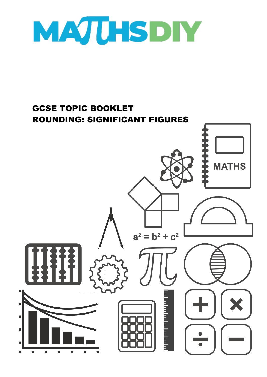

## GCSE TOPIC BOOKLET ROUNDING: SIGNIFICANT FIGURES

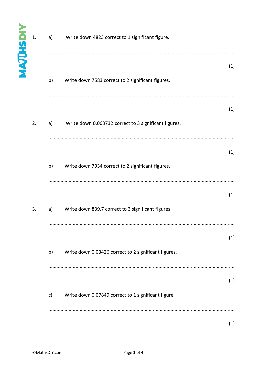| <b>MAJUHSDIY</b> | 1. | Write down 4823 correct to 1 significant figure.<br>a) |                                                       |     |
|------------------|----|--------------------------------------------------------|-------------------------------------------------------|-----|
|                  |    | b)                                                     | Write down 7583 correct to 2 significant figures.     | (1) |
|                  | 2. | a)                                                     | Write down 0.063732 correct to 3 significant figures. | (1) |
|                  |    | b)                                                     | Write down 7934 correct to 2 significant figures.     | (1) |
|                  | 3. | a)                                                     | Write down 839.7 correct to 3 significant figures.    | (1) |
|                  |    | b)                                                     | Write down 0.03426 correct to 2 significant figures.  | (1) |
|                  |    | $\mathsf{c}$                                           | Write down 0.07849 correct to 1 significant figure.   | (1) |
|                  |    |                                                        |                                                       | (1) |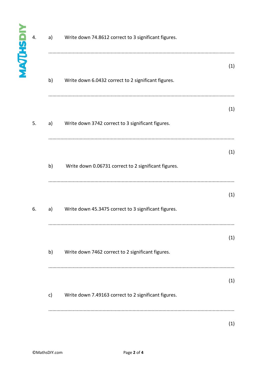| <b>MAJUHSDIY</b> | 4. | Write down 74.8612 correct to 3 significant figures.<br>a) |                                                      |     |
|------------------|----|------------------------------------------------------------|------------------------------------------------------|-----|
|                  |    | b)                                                         | Write down 6.0432 correct to 2 significant figures.  | (1) |
|                  | 5. | a)                                                         | Write down 3742 correct to 3 significant figures.    | (1) |
|                  |    | b)                                                         | Write down 0.06731 correct to 2 significant figures. | (1) |
|                  | 6. | a)                                                         | Write down 45.3475 correct to 3 significant figures. | (1) |
|                  |    | b)                                                         | Write down 7462 correct to 2 significant figures.    | (1) |
|                  |    | c)                                                         | Write down 7.49163 correct to 2 significant figures. | (1) |
|                  |    |                                                            |                                                      | (1) |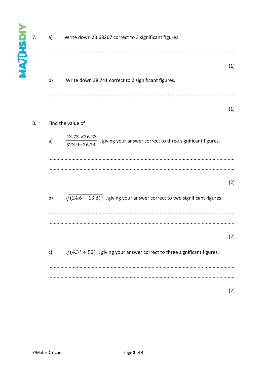| NAJUHSD | 7. | a)<br>Write down 23.68267 correct to 3 significant figures                                |                                                            |  |
|---------|----|-------------------------------------------------------------------------------------------|------------------------------------------------------------|--|
|         |    | b)<br>Write down 38 741 correct to 2 significant figures.                                 | (1)                                                        |  |
|         |    |                                                                                           | (1)                                                        |  |
|         | 8. | Find the value of                                                                         |                                                            |  |
|         |    | $\frac{43.73 \times 26.23}{523.9 - 26.74}$<br>a)                                          | , giving your answer correct to three significant figures. |  |
|         |    |                                                                                           |                                                            |  |
|         |    |                                                                                           | (2)                                                        |  |
|         |    | $\sqrt{(24.6-13.8)^3}$ , giving your answer correct to two significant figures.<br>b)     |                                                            |  |
|         |    |                                                                                           |                                                            |  |
|         |    |                                                                                           | (2)                                                        |  |
|         |    | $\sqrt{(4.3^3 \div 52)}$ , giving your answer correct to three significant figures.<br>c) |                                                            |  |
|         |    |                                                                                           |                                                            |  |
|         |    |                                                                                           | (2)                                                        |  |